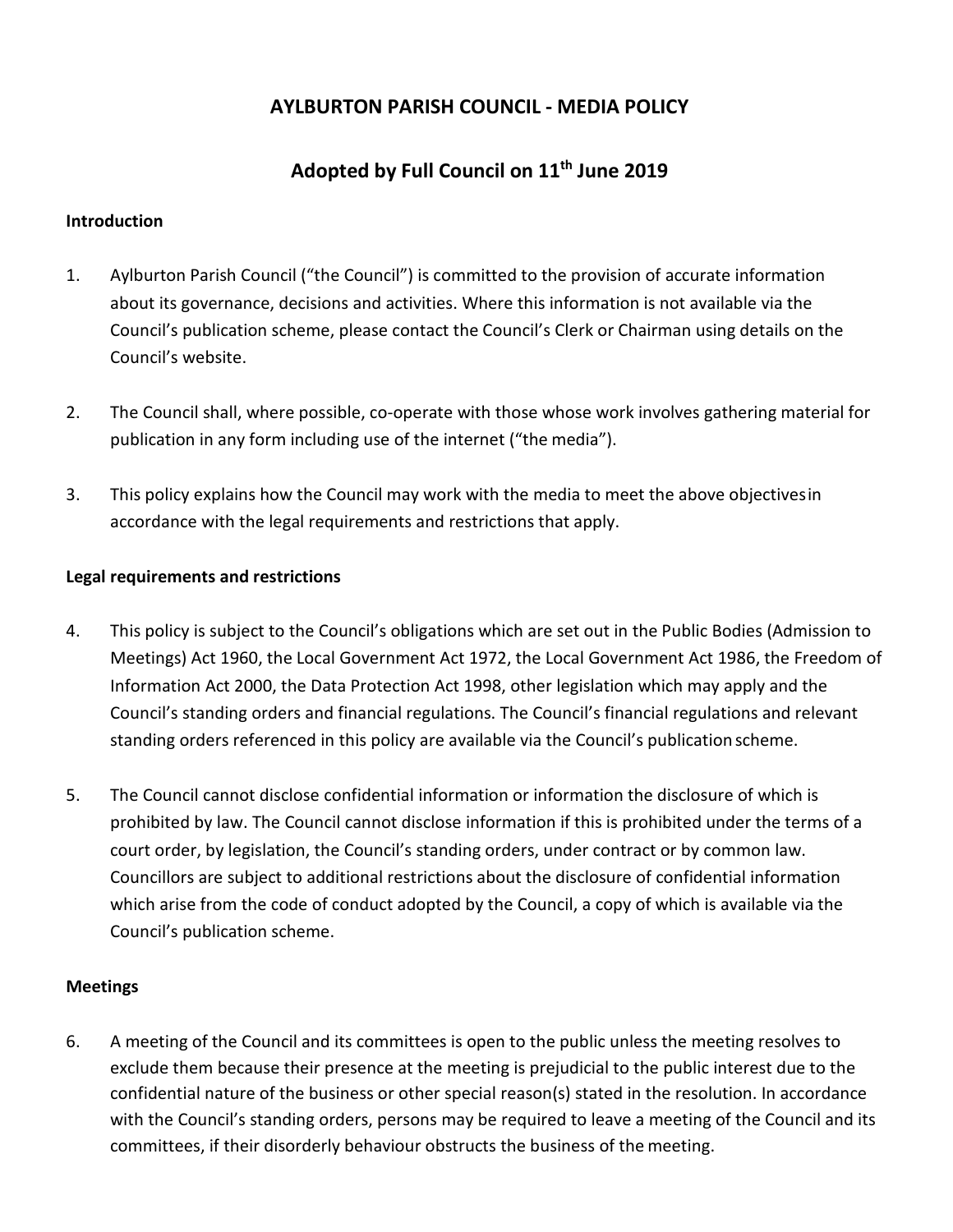# **AYLBURTON PARISH COUNCIL ‐ MEDIA POLICY**

# **Adopted by Full Council on 11th June 2019**

### **Introduction**

- 1. Aylburton Parish Council ("the Council") is committed to the provision of accurate information about its governance, decisions and activities. Where this information is not available via the Council's publication scheme, please contact the Council's Clerk or Chairman using details on the Council's website.
- 2. The Council shall, where possible, co-operate with those whose work involves gathering material for publication in any form including use of the internet ("the media").
- 3. This policy explains how the Council may work with the media to meet the above objectivesin accordance with the legal requirements and restrictions that apply.

### **Legal requirements and restrictions**

- 4. This policy is subject to the Council's obligations which are set out in the Public Bodies (Admission to Meetings) Act 1960, the Local Government Act 1972, the Local Government Act 1986, the Freedom of Information Act 2000, the Data Protection Act 1998, other legislation which may apply and the Council's standing orders and financial regulations. The Council's financial regulations and relevant standing orders referenced in this policy are available via the Council's publication scheme.
- 5. The Council cannot disclose confidential information or information the disclosure of which is prohibited by law. The Council cannot disclose information if this is prohibited under the terms of a court order, by legislation, the Council's standing orders, under contract or by common law. Councillors are subject to additional restrictions about the disclosure of confidential information which arise from the code of conduct adopted by the Council, a copy of which is available via the Council's publication scheme.

#### **Meetings**

6. A meeting of the Council and its committees is open to the public unless the meeting resolves to exclude them because their presence at the meeting is prejudicial to the public interest due to the confidential nature of the business or other special reason(s) stated in the resolution. In accordance with the Council's standing orders, persons may be required to leave a meeting of the Council and its committees, if their disorderly behaviour obstructs the business of the meeting.